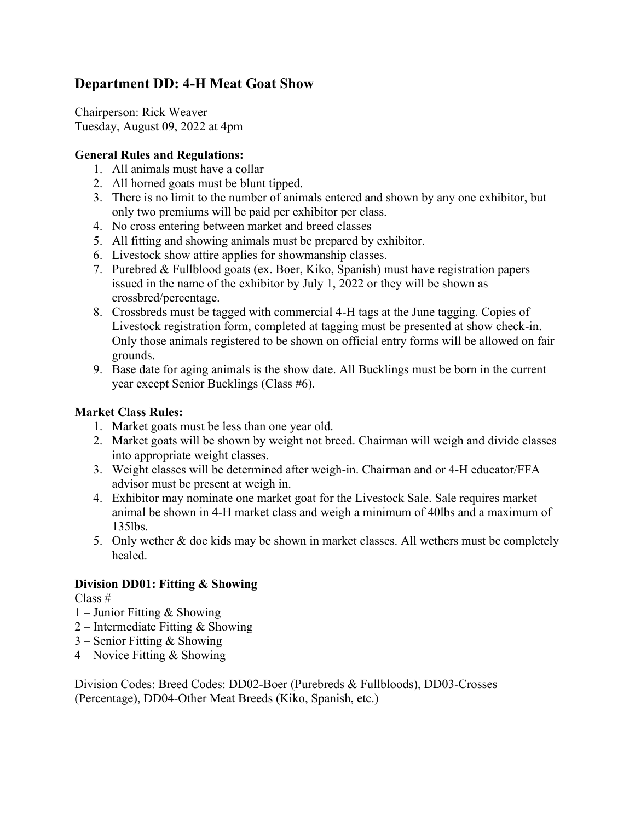# **Department DD: 4-H Meat Goat Show**

Chairperson: Rick Weaver Tuesday, August 09, 2022 at 4pm

## **General Rules and Regulations:**

- 1. All animals must have a collar
- 2. All horned goats must be blunt tipped.
- 3. There is no limit to the number of animals entered and shown by any one exhibitor, but only two premiums will be paid per exhibitor per class.
- 4. No cross entering between market and breed classes
- 5. All fitting and showing animals must be prepared by exhibitor.
- 6. Livestock show attire applies for showmanship classes.
- 7. Purebred & Fullblood goats (ex. Boer, Kiko, Spanish) must have registration papers issued in the name of the exhibitor by July 1, 2022 or they will be shown as crossbred/percentage.
- 8. Crossbreds must be tagged with commercial 4-H tags at the June tagging. Copies of Livestock registration form, completed at tagging must be presented at show check-in. Only those animals registered to be shown on official entry forms will be allowed on fair grounds.
- 9. Base date for aging animals is the show date. All Bucklings must be born in the current year except Senior Bucklings (Class #6).

### **Market Class Rules:**

- 1. Market goats must be less than one year old.
- 2. Market goats will be shown by weight not breed. Chairman will weigh and divide classes into appropriate weight classes.
- 3. Weight classes will be determined after weigh-in. Chairman and or 4-H educator/FFA advisor must be present at weigh in.
- 4. Exhibitor may nominate one market goat for the Livestock Sale. Sale requires market animal be shown in 4-H market class and weigh a minimum of 40lbs and a maximum of 135lbs.
- 5. Only wether & doe kids may be shown in market classes. All wethers must be completely healed.

#### **Division DD01: Fitting & Showing**

Class #

- 1 Junior Fitting & Showing
- 2 Intermediate Fitting & Showing
- 3 Senior Fitting & Showing
- 4 Novice Fitting & Showing

Division Codes: Breed Codes: DD02-Boer (Purebreds & Fullbloods), DD03-Crosses (Percentage), DD04-Other Meat Breeds (Kiko, Spanish, etc.)